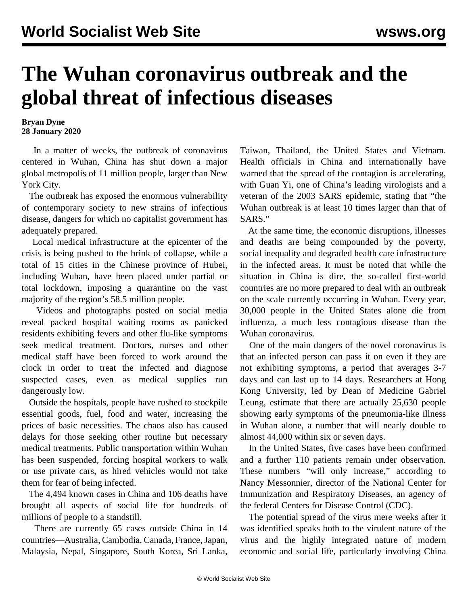## **The Wuhan coronavirus outbreak and the global threat of infectious diseases**

**Bryan Dyne 28 January 2020**

 In a matter of weeks, the outbreak of coronavirus centered in Wuhan, China has shut down a major global metropolis of 11 million people, larger than New York City.

 The outbreak has exposed the enormous vulnerability of contemporary society to new strains of infectious disease, dangers for which no capitalist government has adequately prepared.

 Local medical infrastructure at the epicenter of the crisis is being pushed to the brink of collapse, while a total of 15 cities in the Chinese province of Hubei, including Wuhan, have been placed under partial or total lockdown, imposing a quarantine on the vast majority of the region's 58.5 million people.

 Videos and photographs posted on social media reveal packed hospital waiting rooms as panicked residents exhibiting fevers and other flu-like symptoms seek medical treatment. Doctors, nurses and other medical staff have been forced to work around the clock in order to treat the infected and diagnose suspected cases, even as medical supplies run dangerously low.

 Outside the hospitals, people have rushed to stockpile essential goods, fuel, food and water, increasing the prices of basic necessities. The chaos also has caused delays for those seeking other routine but necessary medical treatments. Public transportation within Wuhan has been suspended, forcing hospital workers to walk or use private cars, as hired vehicles would not take them for fear of being infected.

 The 4,494 known cases in China and 106 deaths have brought all aspects of social life for hundreds of millions of people to a standstill.

 There are currently 65 cases outside China in 14 countries—Australia, Cambodia, Canada, France, Japan, Malaysia, Nepal, Singapore, South Korea, Sri Lanka, Taiwan, Thailand, the United States and Vietnam. Health officials in China and internationally have warned that the spread of the contagion is accelerating, with Guan Yi, one of China's leading virologists and a veteran of the 2003 SARS epidemic, stating that "the Wuhan outbreak is at least 10 times larger than that of SARS."

 At the same time, the economic disruptions, illnesses and deaths are being compounded by the poverty, social inequality and degraded health care infrastructure in the infected areas. It must be noted that while the situation in China is dire, the so-called first-world countries are no more prepared to deal with an outbreak on the scale currently occurring in Wuhan. Every year, 30,000 people in the United States alone die from influenza, a much less contagious disease than the Wuhan coronavirus.

 One of the main dangers of the novel coronavirus is that an infected person can pass it on even if they are not exhibiting symptoms, a period that averages 3-7 days and can last up to 14 days. Researchers at Hong Kong University, led by Dean of Medicine Gabriel Leung, estimate that there are actually 25,630 people showing early symptoms of the pneumonia-like illness in Wuhan alone, a number that will nearly double to almost 44,000 within six or seven days.

 In the United States, five cases have been confirmed and a further 110 patients remain under observation. These numbers "will only increase," according to Nancy Messonnier, director of the National Center for Immunization and Respiratory Diseases, an agency of the federal Centers for Disease Control (CDC).

 The potential spread of the virus mere weeks after it was identified speaks both to the virulent nature of the virus and the highly integrated nature of modern economic and social life, particularly involving China